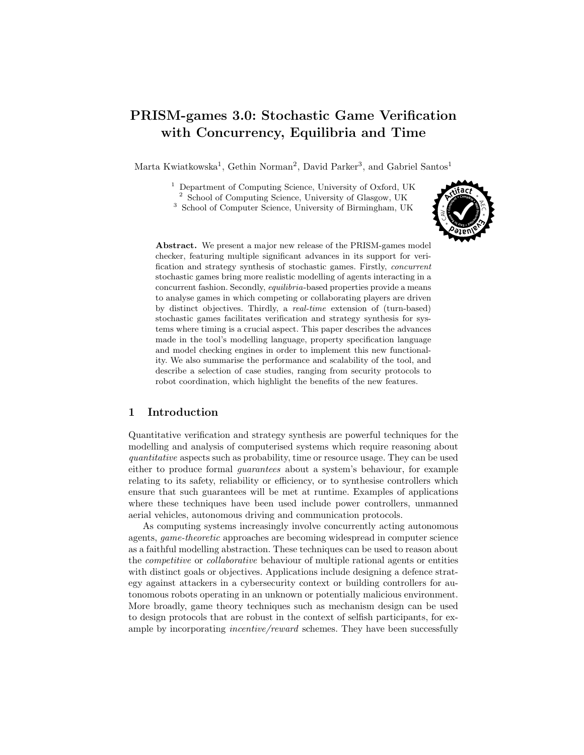# PRISM-games 3.0: Stochastic Game Verification with Concurrency, Equilibria and Time

Marta Kwiatkowska<sup>1</sup>, Gethin Norman<sup>2</sup>, David Parker<sup>3</sup>, and Gabriel Santos<sup>1</sup>

- <sup>1</sup> Department of Computing Science, University of Oxford, UK
- <sup>2</sup> School of Computing Science, University of Glasgow, UK
- <sup>3</sup> School of Computer Science, University of Birmingham, UK



Abstract. We present a major new release of the PRISM-games model checker, featuring multiple significant advances in its support for verification and strategy synthesis of stochastic games. Firstly, concurrent stochastic games bring more realistic modelling of agents interacting in a concurrent fashion. Secondly, equilibria-based properties provide a means to analyse games in which competing or collaborating players are driven by distinct objectives. Thirdly, a real-time extension of (turn-based) stochastic games facilitates verification and strategy synthesis for systems where timing is a crucial aspect. This paper describes the advances made in the tool's modelling language, property specification language and model checking engines in order to implement this new functionality. We also summarise the performance and scalability of the tool, and describe a selection of case studies, ranging from security protocols to robot coordination, which highlight the benefits of the new features.

## 1 Introduction

Quantitative verification and strategy synthesis are powerful techniques for the modelling and analysis of computerised systems which require reasoning about quantitative aspects such as probability, time or resource usage. They can be used either to produce formal guarantees about a system's behaviour, for example relating to its safety, reliability or efficiency, or to synthesise controllers which ensure that such guarantees will be met at runtime. Examples of applications where these techniques have been used include power controllers, unmanned aerial vehicles, autonomous driving and communication protocols.

As computing systems increasingly involve concurrently acting autonomous agents, game-theoretic approaches are becoming widespread in computer science as a faithful modelling abstraction. These techniques can be used to reason about the competitive or collaborative behaviour of multiple rational agents or entities with distinct goals or objectives. Applications include designing a defence strategy against attackers in a cybersecurity context or building controllers for autonomous robots operating in an unknown or potentially malicious environment. More broadly, game theory techniques such as mechanism design can be used to design protocols that are robust in the context of selfish participants, for example by incorporating *incentive/reward* schemes. They have been successfully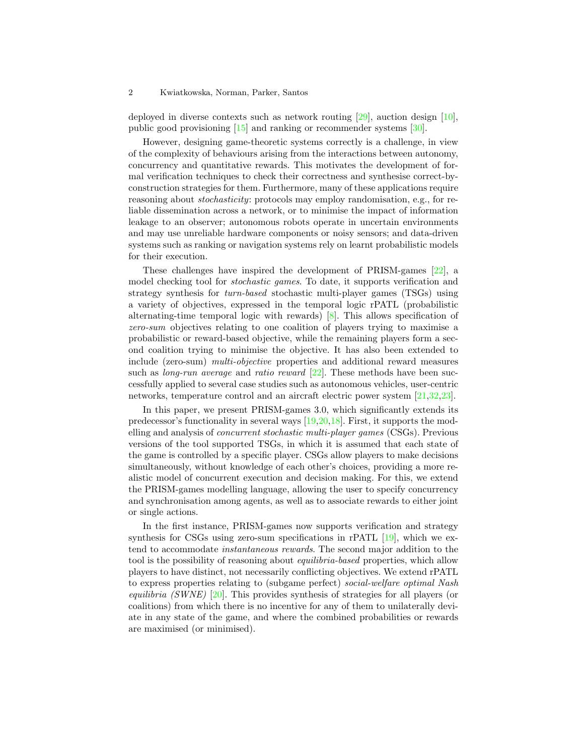#### 2 Kwiatkowska, Norman, Parker, Santos

deployed in diverse contexts such as network routing [\[29\]](#page-11-0), auction design [\[10\]](#page-10-0), public good provisioning [\[15\]](#page-10-1) and ranking or recommender systems [\[30\]](#page-11-1).

However, designing game-theoretic systems correctly is a challenge, in view of the complexity of behaviours arising from the interactions between autonomy, concurrency and quantitative rewards. This motivates the development of formal verification techniques to check their correctness and synthesise correct-byconstruction strategies for them. Furthermore, many of these applications require reasoning about *stochasticity*: protocols may employ randomisation, e.g., for reliable dissemination across a network, or to minimise the impact of information leakage to an observer; autonomous robots operate in uncertain environments and may use unreliable hardware components or noisy sensors; and data-driven systems such as ranking or navigation systems rely on learnt probabilistic models for their execution.

These challenges have inspired the development of PRISM-games [\[22\]](#page-11-2), a model checking tool for stochastic games. To date, it supports verification and strategy synthesis for turn-based stochastic multi-player games (TSGs) using a variety of objectives, expressed in the temporal logic rPATL (probabilistic alternating-time temporal logic with rewards) [\[8\]](#page-10-2). This allows specification of zero-sum objectives relating to one coalition of players trying to maximise a probabilistic or reward-based objective, while the remaining players form a second coalition trying to minimise the objective. It has also been extended to include (zero-sum) multi-objective properties and additional reward measures such as *long-run average* and *ratio reward*  $[22]$ . These methods have been successfully applied to several case studies such as autonomous vehicles, user-centric networks, temperature control and an aircraft electric power system [\[21,](#page-11-3)[32,](#page-11-4)[23\]](#page-11-5).

In this paper, we present PRISM-games 3.0, which significantly extends its predecessor's functionality in several ways [\[19](#page-11-6)[,20,](#page-11-7)[18\]](#page-10-3). First, it supports the modelling and analysis of concurrent stochastic multi-player games (CSGs). Previous versions of the tool supported TSGs, in which it is assumed that each state of the game is controlled by a specific player. CSGs allow players to make decisions simultaneously, without knowledge of each other's choices, providing a more realistic model of concurrent execution and decision making. For this, we extend the PRISM-games modelling language, allowing the user to specify concurrency and synchronisation among agents, as well as to associate rewards to either joint or single actions.

In the first instance, PRISM-games now supports verification and strategy synthesis for CSGs using zero-sum specifications in rPATL [\[19\]](#page-11-6), which we extend to accommodate instantaneous rewards. The second major addition to the tool is the possibility of reasoning about *equilibria-based* properties, which allow players to have distinct, not necessarily conflicting objectives. We extend rPATL to express properties relating to (subgame perfect) social-welfare optimal Nash equilibria (SWNE) [\[20\]](#page-11-7). This provides synthesis of strategies for all players (or coalitions) from which there is no incentive for any of them to unilaterally deviate in any state of the game, and where the combined probabilities or rewards are maximised (or minimised).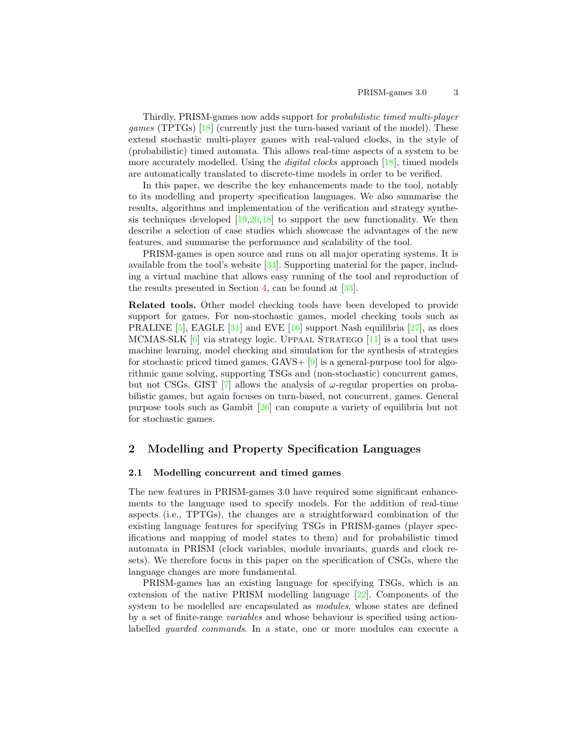Thirdly, PRISM-games now adds support for probabilistic timed multi-player games (TPTGs) [\[18\]](#page-10-3) (currently just the turn-based variant of the model). These extend stochastic multi-player games with real-valued clocks, in the style of (probabilistic) timed automata. This allows real-time aspects of a system to be more accurately modelled. Using the *digital clocks* approach  $[18]$ , timed models are automatically translated to discrete-time models in order to be verified.

In this paper, we describe the key enhancements made to the tool, notably to its modelling and property specification languages. We also summarise the results, algorithms and implementation of the verification and strategy synthesis techniques developed [\[19,](#page-11-6)[20,](#page-11-7)[18\]](#page-10-3) to support the new functionality. We then describe a selection of case studies which showcase the advantages of the new features, and summarise the performance and scalability of the tool.

PRISM-games is open source and runs on all major operating systems. It is available from the tool's website [\[34\]](#page-11-8). Supporting material for the paper, including a virtual machine that allows easy running of the tool and reproduction of the results presented in Section [4,](#page-6-0) can be found at [\[33\]](#page-11-9).

Related tools. Other model checking tools have been developed to provide support for games. For non-stochastic games, model checking tools such as PRALINE [\[5\]](#page-10-4), EAGLE [\[31\]](#page-11-10) and EVE [\[16\]](#page-10-5) support Nash equilibria [\[27\]](#page-11-11), as does MCMAS-SLK  $[6]$  via strategy logic. Uppaal STRATEGO  $[11]$  is a tool that uses machine learning, model checking and simulation for the synthesis of strategies for stochastic priced timed games. GAVS+  $[9]$  is a general-purpose tool for algorithmic game solving, supporting TSGs and (non-stochastic) concurrent games, but not CSGs. GIST  $[7]$  allows the analysis of  $\omega$ -regular properties on probabilistic games, but again focuses on turn-based, not concurrent, games. General purpose tools such as Gambit [\[26\]](#page-11-12) can compute a variety of equilibria but not for stochastic games.

## 2 Modelling and Property Specification Languages

#### 2.1 Modelling concurrent and timed games

The new features in PRISM-games 3.0 have required some significant enhancements to the language used to specify models. For the addition of real-time aspects (i.e., TPTGs), the changes are a straightforward combination of the existing language features for specifying TSGs in PRISM-games (player specifications and mapping of model states to them) and for probabilistic timed automata in PRISM (clock variables, module invariants, guards and clock resets). We therefore focus in this paper on the specification of CSGs, where the language changes are more fundamental.

PRISM-games has an existing language for specifying TSGs, which is an extension of the native PRISM modelling language [\[22\]](#page-11-2). Components of the system to be modelled are encapsulated as *modules*, whose states are defined by a set of finite-range variables and whose behaviour is specified using actionlabelled guarded commands. In a state, one or more modules can execute a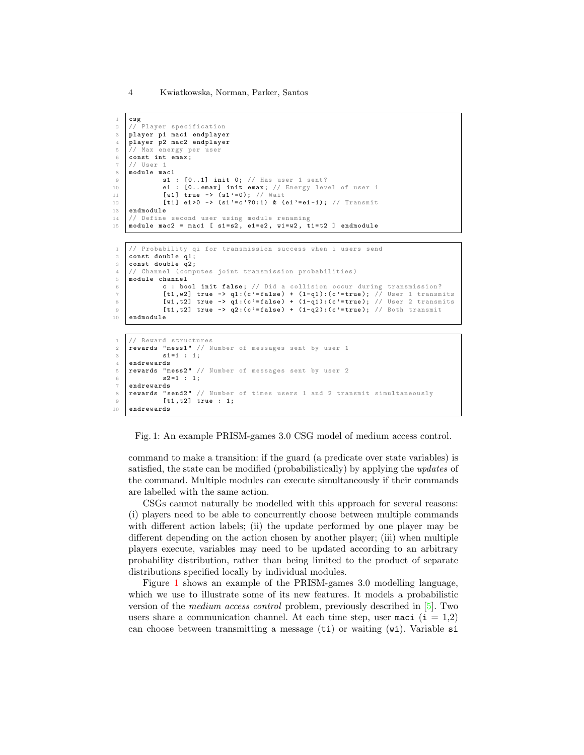```
1 csg
2 // Player specification
3 player p1 mac1 endplayer
4 player p2 mac2 endplayer
5 // Max energy per user
6 const int emax;
7 // User 1
8 module mac1
9 \begin{array}{|l|l|} 9 & \text{si} 1: [0..1] \text{ init } 0; // \text{ Has user } 1 \text{ sent?} \end{array}10 e1 : [O..emax] init emax; // Energy level of user 1<br>11 [w1] true -> (s1'=0); // Wait
12 [t1] e1 > 0 -> (s1'=c'?0:1) & (e1'=e1-1); // Transmit
13 endmodule
14 // Define second user using module renaming<br>15 module mac2 = mac1 [s1=s2 e1=e2 w1=w2 +
    module mac2 = mac1 [ s1 = s2, e1 = e2, w1 = w2, t1 = t2 ] endmodule
1 // Probability qi for transmission success when i users send<br>2 const double q1;
    const double q1;
3 const double q2 ;
    // Channel ( computes joint transmission probabilities)
    module channel
6 c : bool init false; // Did a collision occur during transmission?
             [t1,w2] true -> q1:(c' = false) + (1-q1):(c' = true); // User 1 transmits
              [w1, t2] true -> q1:(c' = false) + (1-q1):(c' = true); // User 2 transmits
9 [t1,t2] true -> q2:(c'=false) + (1-q2):(c'=true); // Both transmit<br>10 endmodule
    endmodule
    // Reward structures
2 rewards "mess1" // Number of messages sent by user 1
3 \mid \text{ } \text{s1=1} : 1;
4 endrewards
5 rewards " mess2 " // Number of messages sent by user 2
```

```
6 s2=1 : 1;endrewards
8 rewards "send2" // Number of times users 1 and 2 transmit simultaneously
9 [t1, t2] true : 1;
10 endrewards
```
Fig. 1: An example PRISM-games 3.0 CSG model of medium access control.

command to make a transition: if the guard (a predicate over state variables) is satisfied, the state can be modified (probabilistically) by applying the updates of the command. Multiple modules can execute simultaneously if their commands are labelled with the same action.

CSGs cannot naturally be modelled with this approach for several reasons: (i) players need to be able to concurrently choose between multiple commands with different action labels; (ii) the update performed by one player may be different depending on the action chosen by another player; (iii) when multiple players execute, variables may need to be updated according to an arbitrary probability distribution, rather than being limited to the product of separate distributions specified locally by individual modules.

Figure [1](#page-3-0) shows an example of the PRISM-games 3.0 modelling language, which we use to illustrate some of its new features. It models a probabilistic version of the medium access control problem, previously described in [\[5\]](#page-10-4). Two users share a communication channel. At each time step, user maci  $(i = 1,2)$ can choose between transmitting a message (ti) or waiting (wi). Variable si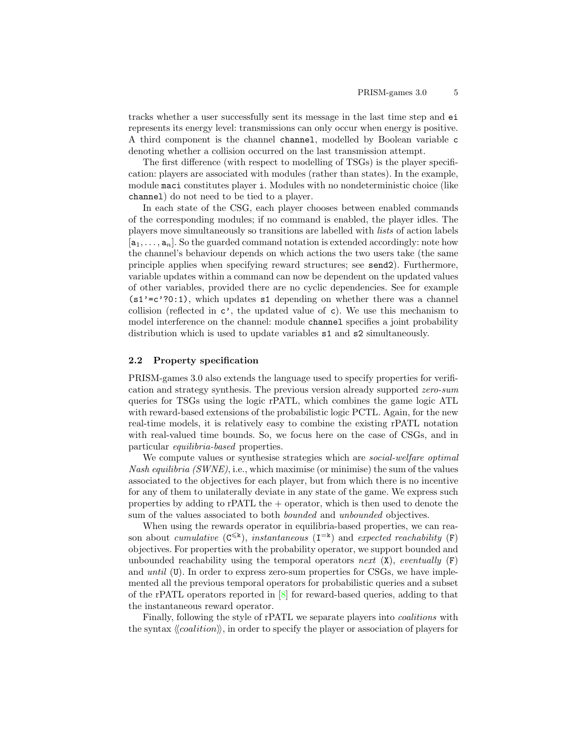tracks whether a user successfully sent its message in the last time step and ei represents its energy level: transmissions can only occur when energy is positive. A third component is the channel channel, modelled by Boolean variable c denoting whether a collision occurred on the last transmission attempt.

The first difference (with respect to modelling of TSGs) is the player specification: players are associated with modules (rather than states). In the example, module maci constitutes player i. Modules with no nondeterministic choice (like channel) do not need to be tied to a player.

In each state of the CSG, each player chooses between enabled commands of the corresponding modules; if no command is enabled, the player idles. The players move simultaneously so transitions are labelled with lists of action labels  $[a_1, \ldots, a_n]$ . So the guarded command notation is extended accordingly: note how the channel's behaviour depends on which actions the two users take (the same principle applies when specifying reward structures; see send2). Furthermore, variable updates within a command can now be dependent on the updated values of other variables, provided there are no cyclic dependencies. See for example  $(s_1)=c$ '?0:1), which updates s1 depending on whether there was a channel collision (reflected in  $c'$ , the updated value of c). We use this mechanism to model interference on the channel: module channel specifies a joint probability distribution which is used to update variables  $s1$  and  $s2$  simultaneously.

### 2.2 Property specification

PRISM-games 3.0 also extends the language used to specify properties for verification and strategy synthesis. The previous version already supported zero-sum queries for TSGs using the logic rPATL, which combines the game logic ATL with reward-based extensions of the probabilistic logic PCTL. Again, for the new real-time models, it is relatively easy to combine the existing rPATL notation with real-valued time bounds. So, we focus here on the case of CSGs, and in particular equilibria-based properties.

We compute values or synthesise strategies which are *social-welfare optimal* Nash equilibria (SWNE), i.e., which maximise (or minimise) the sum of the values associated to the objectives for each player, but from which there is no incentive for any of them to unilaterally deviate in any state of the game. We express such properties by adding to  $\text{rPATH}$  the  $+$  operator, which is then used to denote the sum of the values associated to both *bounded* and *unbounded* objectives.

When using the rewards operator in equilibria-based properties, we can reason about *cumulative*  $(C^{\le k})$ , *instantaneous*  $(I^{-k})$  and *expected reachability*  $(F)$ objectives. For properties with the probability operator, we support bounded and unbounded reachability using the temporal operators next  $(X)$ , eventually  $(F)$ and *until* (U). In order to express zero-sum properties for CSGs, we have implemented all the previous temporal operators for probabilistic queries and a subset of the rPATL operators reported in [\[8\]](#page-10-2) for reward-based queries, adding to that the instantaneous reward operator.

Finally, following the style of rPATL we separate players into coalitions with the syntax  $\langle\langle coalition \rangle\rangle$ , in order to specify the player or association of players for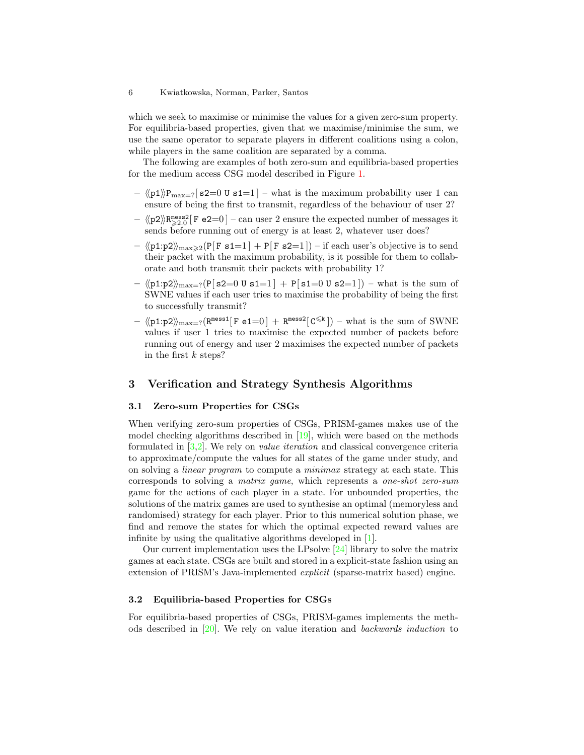#### 6 Kwiatkowska, Norman, Parker, Santos

which we seek to maximise or minimise the values for a given zero-sum property. For equilibria-based properties, given that we maximise/minimise the sum, we use the same operator to separate players in different coalitions using a colon, while players in the same coalition are separated by a comma.

The following are examples of both zero-sum and equilibria-based properties for the medium access CSG model described in Figure [1.](#page-3-0)

- $\langle \langle \mathbf{p1} \rangle \rangle$ P<sub>max=?</sub>[ s2=0 U s1=1] what is the maximum probability user 1 can ensure of being the first to transmit, regardless of the behaviour of user 2?
- $\langle \langle \mathbf{p2} \rangle \rangle R_{\geqslant 2.0}^{\text{mess2}}$  [F e2=0] can user 2 ensure the expected number of messages it sends before running out of energy is at least 2, whatever user does?
- $\langle \langle \mathsf{p1:p2} \rangle \rangle_{\text{max}\geq 2}(\mathsf{P}[\mathsf{F s1=}] + \mathsf{P}[\mathsf{F s2=}] \text{if each user's objective is to send}]$ their packet with the maximum probability, is it possible for them to collaborate and both transmit their packets with probability 1?
- $\langle \langle p1:p2 \rangle \rangle_{\text{max}=?}(P[s2=0 \text{ U s1=1}] + P[s1=0 \text{ U s2=1}]) \text{what is the sum of}$ SWNE values if each user tries to maximise the probability of being the first to successfully transmit?
- $\langle \langle \text{p1:p2} \rangle \rangle_{\text{max}=?} (R^{\text{mess1}}[F e1=0] + R^{\text{mess2}}[C^{\leq k}]) \text{what is the sum of SWNE}$ values if user 1 tries to maximise the expected number of packets before running out of energy and user 2 maximises the expected number of packets in the first  $k$  steps?

## 3 Verification and Strategy Synthesis Algorithms

#### 3.1 Zero-sum Properties for CSGs

When verifying zero-sum properties of CSGs, PRISM-games makes use of the model checking algorithms described in [\[19\]](#page-11-6), which were based on the methods formulated in [\[3](#page-10-10)[,2\]](#page-10-11). We rely on value iteration and classical convergence criteria to approximate/compute the values for all states of the game under study, and on solving a linear program to compute a minimax strategy at each state. This corresponds to solving a matrix game, which represents a one-shot zero-sum game for the actions of each player in a state. For unbounded properties, the solutions of the matrix games are used to synthesise an optimal (memoryless and randomised) strategy for each player. Prior to this numerical solution phase, we find and remove the states for which the optimal expected reward values are infinite by using the qualitative algorithms developed in [\[1\]](#page-10-12).

Our current implementation uses the LPsolve [\[24\]](#page-11-13) library to solve the matrix games at each state. CSGs are built and stored in a explicit-state fashion using an extension of PRISM's Java-implemented explicit (sparse-matrix based) engine.

#### 3.2 Equilibria-based Properties for CSGs

For equilibria-based properties of CSGs, PRISM-games implements the methods described in [\[20\]](#page-11-7). We rely on value iteration and backwards induction to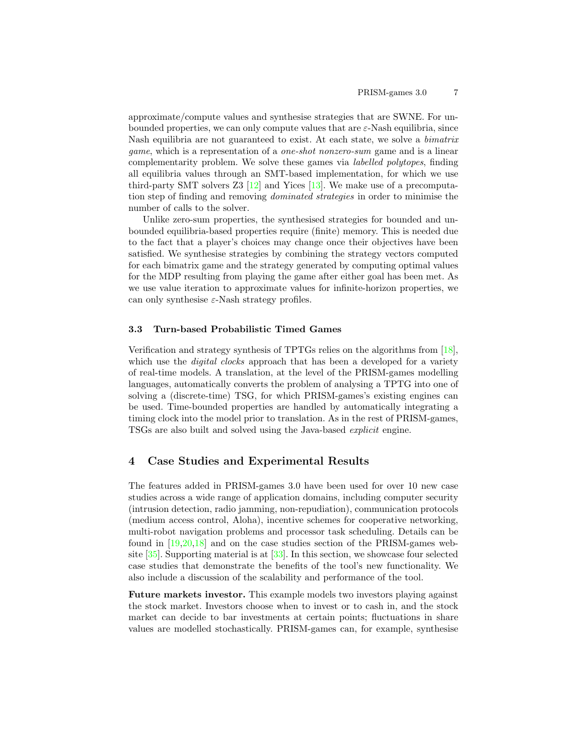approximate/compute values and synthesise strategies that are SWNE. For unbounded properties, we can only compute values that are  $\varepsilon$ -Nash equilibria, since Nash equilibria are not guaranteed to exist. At each state, we solve a *bimatrix* game, which is a representation of a one-shot nonzero-sum game and is a linear complementarity problem. We solve these games via labelled polytopes, finding all equilibria values through an SMT-based implementation, for which we use third-party SMT solvers  $Z3$  [\[12\]](#page-10-13) and Yices [\[13\]](#page-10-14). We make use of a precomputation step of finding and removing dominated strategies in order to minimise the number of calls to the solver.

Unlike zero-sum properties, the synthesised strategies for bounded and unbounded equilibria-based properties require (finite) memory. This is needed due to the fact that a player's choices may change once their objectives have been satisfied. We synthesise strategies by combining the strategy vectors computed for each bimatrix game and the strategy generated by computing optimal values for the MDP resulting from playing the game after either goal has been met. As we use value iteration to approximate values for infinite-horizon properties, we can only synthesise  $\varepsilon$ -Nash strategy profiles.

#### 3.3 Turn-based Probabilistic Timed Games

Verification and strategy synthesis of TPTGs relies on the algorithms from [\[18\]](#page-10-3), which use the *digital clocks* approach that has been a developed for a variety of real-time models. A translation, at the level of the PRISM-games modelling languages, automatically converts the problem of analysing a TPTG into one of solving a (discrete-time) TSG, for which PRISM-games's existing engines can be used. Time-bounded properties are handled by automatically integrating a timing clock into the model prior to translation. As in the rest of PRISM-games, TSGs are also built and solved using the Java-based explicit engine.

### <span id="page-6-0"></span>4 Case Studies and Experimental Results

The features added in PRISM-games 3.0 have been used for over 10 new case studies across a wide range of application domains, including computer security (intrusion detection, radio jamming, non-repudiation), communication protocols (medium access control, Aloha), incentive schemes for cooperative networking, multi-robot navigation problems and processor task scheduling. Details can be found in [\[19](#page-11-6)[,20](#page-11-7)[,18\]](#page-10-3) and on the case studies section of the PRISM-games website [\[35\]](#page-11-14). Supporting material is at [\[33\]](#page-11-9). In this section, we showcase four selected case studies that demonstrate the benefits of the tool's new functionality. We also include a discussion of the scalability and performance of the tool.

Future markets investor. This example models two investors playing against the stock market. Investors choose when to invest or to cash in, and the stock market can decide to bar investments at certain points; fluctuations in share values are modelled stochastically. PRISM-games can, for example, synthesise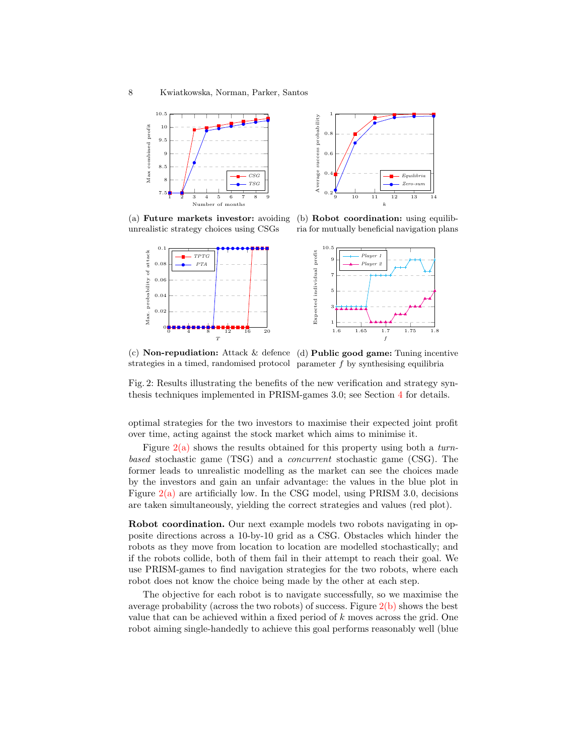<span id="page-7-0"></span>

(a) Future markets investor: avoiding unrealistic strategy choices using CSGs

(b) Robot coordination: using equilibria for mutually beneficial navigation plans



(c) Non-repudiation: Attack & defence (d) Public good game: Tuning incentive strategies in a timed, randomised protocol parameter f by synthesising equilibria

Fig. 2: Results illustrating the benefits of the new verification and strategy synthesis techniques implemented in PRISM-games 3.0; see Section [4](#page-6-0) for details.

optimal strategies for the two investors to maximise their expected joint profit over time, acting against the stock market which aims to minimise it.

Figure  $2(a)$  shows the results obtained for this property using both a turnbased stochastic game (TSG) and a concurrent stochastic game (CSG). The former leads to unrealistic modelling as the market can see the choices made by the investors and gain an unfair advantage: the values in the blue plot in Figure  $2(a)$  are artificially low. In the CSG model, using PRISM 3.0, decisions are taken simultaneously, yielding the correct strategies and values (red plot).

Robot coordination. Our next example models two robots navigating in opposite directions across a 10-by-10 grid as a CSG. Obstacles which hinder the robots as they move from location to location are modelled stochastically; and if the robots collide, both of them fail in their attempt to reach their goal. We use PRISM-games to find navigation strategies for the two robots, where each robot does not know the choice being made by the other at each step.

The objective for each robot is to navigate successfully, so we maximise the average probability (across the two robots) of success. Figure  $2(b)$  shows the best value that can be achieved within a fixed period of  $k$  moves across the grid. One robot aiming single-handedly to achieve this goal performs reasonably well (blue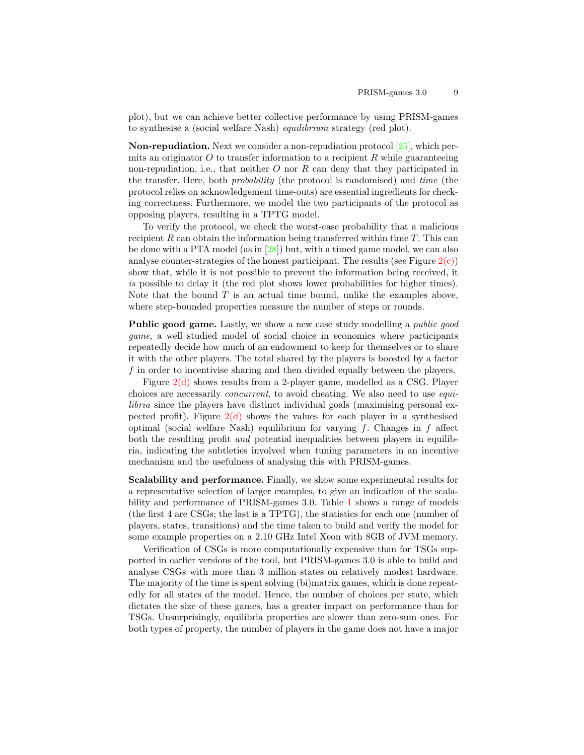plot), but we can achieve better collective performance by using PRISM-games to synthesise a (social welfare Nash) equilibrium strategy (red plot).

**Non-repudiation.** Next we consider a non-repudiation protocol  $[25]$ , which permits an originator  $O$  to transfer information to a recipient  $R$  while guaranteeing non-repudiation, i.e., that neither  $O$  nor  $R$  can deny that they participated in the transfer. Here, both probability (the protocol is randomised) and time (the protocol relies on acknowledgement time-outs) are essential ingredients for checking correctness. Furthermore, we model the two participants of the protocol as opposing players, resulting in a TPTG model.

To verify the protocol, we check the worst-case probability that a malicious recipient  $R$  can obtain the information being transferred within time  $T$ . This can be done with a PTA model (as in [\[28\]](#page-11-16)) but, with a timed game model, we can also analyse counter-strategies of the honest participant. The results (see Figure  $2(c)$ ) show that, while it is not possible to prevent the information being received, it is possible to delay it (the red plot shows lower probabilities for higher times). Note that the bound  $T$  is an actual time bound, unlike the examples above, where step-bounded properties measure the number of steps or rounds.

Public good game. Lastly, we show a new case study modelling a public good game, a well studied model of social choice in economics where participants repeatedly decide how much of an endowment to keep for themselves or to share it with the other players. The total shared by the players is boosted by a factor f in order to incentivise sharing and then divided equally between the players.

Figure  $2(d)$  shows results from a 2-player game, modelled as a CSG. Player choices are necessarily concurrent, to avoid cheating. We also need to use equilibria since the players have distinct individual goals (maximising personal expected profit). Figure  $2(d)$  shows the values for each player in a synthesised optimal (social welfare Nash) equilibrium for varying  $f$ . Changes in  $f$  affect both the resulting profit *and* potential inequalities between players in equilibria, indicating the subtleties involved when tuning parameters in an incentive mechanism and the usefulness of analysing this with PRISM-games.

Scalability and performance. Finally, we show some experimental results for a representative selection of larger examples, to give an indication of the scalability and performance of PRISM-games 3.0. Table [1](#page-9-0) shows a range of models (the first 4 are CSGs; the last is a TPTG), the statistics for each one (number of players, states, transitions) and the time taken to build and verify the model for some example properties on a 2.10 GHz Intel Xeon with 8GB of JVM memory.

Verification of CSGs is more computationally expensive than for TSGs supported in earlier versions of the tool, but PRISM-games 3.0 is able to build and analyse CSGs with more than 3 million states on relatively modest hardware. The majority of the time is spent solving (bi)matrix games, which is done repeatedly for all states of the model. Hence, the number of choices per state, which dictates the size of these games, has a greater impact on performance than for TSGs. Unsurprisingly, equilibria properties are slower than zero-sum ones. For both types of property, the number of players in the game does not have a major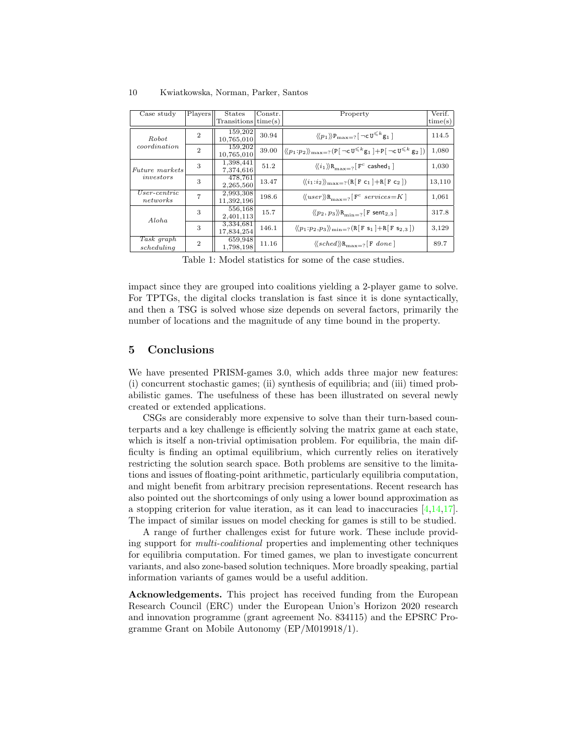<span id="page-9-0"></span>

|                                    |                | <b>States</b>           | Constr. |                                                                                                                               | Verif.  |
|------------------------------------|----------------|-------------------------|---------|-------------------------------------------------------------------------------------------------------------------------------|---------|
| Case study                         | Players        |                         |         | Property                                                                                                                      |         |
|                                    |                | Transitions time(s)     |         |                                                                                                                               | time(s) |
| Robot<br>coordination              | $\overline{2}$ | 159,202<br>10,765,010   | 30.94   | $\langle\langle p_1 \rangle \rangle$ P <sub>max=?</sub> [ $\neg$ c U <sup><math>\leq k</math></sup> g <sub>1</sub> ]          | 114.5   |
|                                    | $\mathbf{2}$   | 159,202<br>10,765,010   | 39.00   | $\langle p_1:p_2\rangle\}_{\max=?} (P[\neg c \mathbf{U}^{\leq k} \mathbf{g}_1] + P[\neg c \mathbf{U}^{\leq k} \mathbf{g}_2])$ | 1,080   |
| <i>Future markets</i><br>investors | 3              | 1,398,441<br>7,374,616  | 51.2    | $\langle\langle i_1\rangle\rangle R_{\text{max}-2}$ $\lceil F^c \text{ cashed}_1 \rceil$                                      | 1,030   |
|                                    | 3              | 478,761<br>2,265,560    | 13.47   | $\langle \langle i_1 : i_2 \rangle \rangle_{\text{max}=?} (R[F c_1] + R[F c_2])$                                              | 13,110  |
| $User\text{-}centric$<br>networks  | 7              | 2,993,308<br>11,392,196 | 198.6   | $\langle \langle user \rangle \rangle R_{\text{max}-2}$ $\lceil F^c \text{ services} = K \rceil$                              | 1,061   |
| Aloha                              | 3              | 556,168<br>2,401,113    | 15.7    | $\langle\langle p_2, p_3 \rangle \rangle R_{\text{min}=2}$ F sent <sub>2.3</sub>                                              | 317.8   |
|                                    | 3              | 3,334,681<br>17,834,254 | 146.1   | $\langle \langle p_1 : p_2, p_3 \rangle \rangle_{\min} = ?(R[F s_1] + R[F s_{2,3}])$                                          | 3.129   |
| Task graph<br>scheduling           | $\overline{2}$ | 659,948<br>1,798,198    | 11.16   | $\langle \langle \mathit{sched} \rangle \rangle R_{\text{max}-2}$ [F done]                                                    | 89.7    |

Table 1: Model statistics for some of the case studies.

impact since they are grouped into coalitions yielding a 2-player game to solve. For TPTGs, the digital clocks translation is fast since it is done syntactically, and then a TSG is solved whose size depends on several factors, primarily the number of locations and the magnitude of any time bound in the property.

## 5 Conclusions

We have presented PRISM-games 3.0, which adds three major new features: (i) concurrent stochastic games; (ii) synthesis of equilibria; and (iii) timed probabilistic games. The usefulness of these has been illustrated on several newly created or extended applications.

CSGs are considerably more expensive to solve than their turn-based counterparts and a key challenge is efficiently solving the matrix game at each state, which is itself a non-trivial optimisation problem. For equilibria, the main difficulty is finding an optimal equilibrium, which currently relies on iteratively restricting the solution search space. Both problems are sensitive to the limitations and issues of floating-point arithmetic, particularly equilibria computation, and might benefit from arbitrary precision representations. Recent research has also pointed out the shortcomings of only using a lower bound approximation as a stopping criterion for value iteration, as it can lead to inaccuracies [\[4,](#page-10-15)[14,](#page-10-16)[17\]](#page-10-17). The impact of similar issues on model checking for games is still to be studied.

A range of further challenges exist for future work. These include providing support for multi-coalitional properties and implementing other techniques for equilibria computation. For timed games, we plan to investigate concurrent variants, and also zone-based solution techniques. More broadly speaking, partial information variants of games would be a useful addition.

Acknowledgements. This project has received funding from the European Research Council (ERC) under the European Union's Horizon 2020 research and innovation programme (grant agreement No. 834115) and the EPSRC Programme Grant on Mobile Autonomy (EP/M019918/1).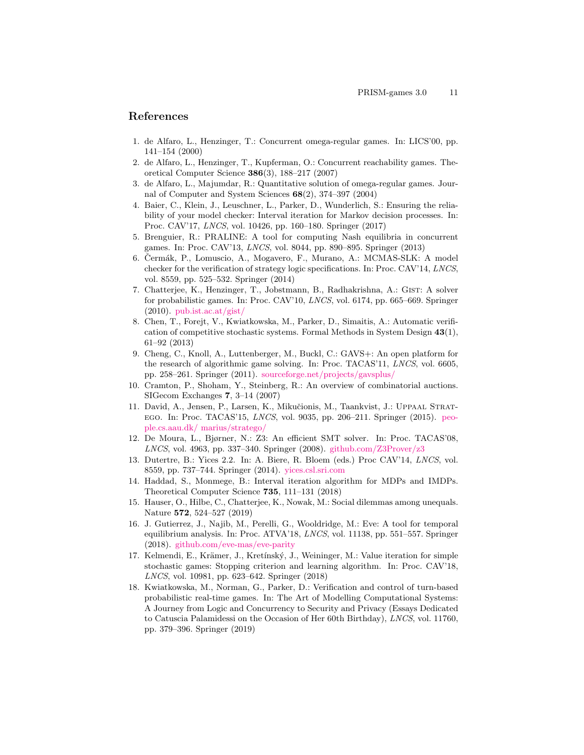# References

- <span id="page-10-12"></span>1. de Alfaro, L., Henzinger, T.: Concurrent omega-regular games. In: LICS'00, pp. 141–154 (2000)
- <span id="page-10-11"></span>2. de Alfaro, L., Henzinger, T., Kupferman, O.: Concurrent reachability games. Theoretical Computer Science 386(3), 188–217 (2007)
- <span id="page-10-10"></span>3. de Alfaro, L., Majumdar, R.: Quantitative solution of omega-regular games. Journal of Computer and System Sciences 68(2), 374–397 (2004)
- <span id="page-10-15"></span>4. Baier, C., Klein, J., Leuschner, L., Parker, D., Wunderlich, S.: Ensuring the reliability of your model checker: Interval iteration for Markov decision processes. In: Proc. CAV'17, LNCS, vol. 10426, pp. 160–180. Springer (2017)
- <span id="page-10-4"></span>5. Brenguier, R.: PRALINE: A tool for computing Nash equilibria in concurrent games. In: Proc. CAV'13, LNCS, vol. 8044, pp. 890–895. Springer (2013)
- <span id="page-10-6"></span>6. Čermák, P., Lomuscio, A., Mogavero, F., Murano, A.: MCMAS-SLK: A model checker for the verification of strategy logic specifications. In: Proc. CAV'14, LNCS, vol. 8559, pp. 525–532. Springer (2014)
- <span id="page-10-9"></span>7. Chatterjee, K., Henzinger, T., Jobstmann, B., Radhakrishna, A.: GIST: A solver for probabilistic games. In: Proc. CAV'10, LNCS, vol. 6174, pp. 665–669. Springer  $(2010)$ . [pub.ist.ac.at/gist/](http://pub.ist.ac.at/gist/)
- <span id="page-10-2"></span>8. Chen, T., Forejt, V., Kwiatkowska, M., Parker, D., Simaitis, A.: Automatic verification of competitive stochastic systems. Formal Methods in System Design 43(1), 61–92 (2013)
- <span id="page-10-8"></span>9. Cheng, C., Knoll, A., Luttenberger, M., Buckl, C.: GAVS+: An open platform for the research of algorithmic game solving. In: Proc. TACAS'11, LNCS, vol. 6605, pp. 258–261. Springer (2011). [sourceforge.net/projects/gavsplus/](https://sourceforge.net/projects/gavsplus/)
- <span id="page-10-0"></span>10. Cramton, P., Shoham, Y., Steinberg, R.: An overview of combinatorial auctions. SIGecom Exchanges 7, 3–14 (2007)
- <span id="page-10-7"></span>11. David, A., Jensen, P., Larsen, K., Mikučionis, M., Taankvist, J.: UPPAAL STRATego. In: Proc. TACAS'15, LNCS, vol. 9035, pp. 206–211. Springer (2015). [peo](https://people.cs.aau.dk/~marius/stratego/index.html)[ple.cs.aau.dk/ marius/stratego/](https://people.cs.aau.dk/~marius/stratego/index.html)
- <span id="page-10-13"></span>12. De Moura, L., Bjørner, N.: Z3: An efficient SMT solver. In: Proc. TACAS'08, LNCS, vol. 4963, pp. 337–340. Springer (2008). [github.com/Z3Prover/z3](https://github.com/Z3Prover/z3)
- <span id="page-10-14"></span>13. Dutertre, B.: Yices 2.2. In: A. Biere, R. Bloem (eds.) Proc CAV'14, LNCS, vol. 8559, pp. 737–744. Springer (2014). [yices.csl.sri.com](https://yices.csl.sri.com/)
- <span id="page-10-16"></span>14. Haddad, S., Monmege, B.: Interval iteration algorithm for MDPs and IMDPs. Theoretical Computer Science 735, 111–131 (2018)
- <span id="page-10-1"></span>15. Hauser, O., Hilbe, C., Chatterjee, K., Nowak, M.: Social dilemmas among unequals. Nature 572, 524–527 (2019)
- <span id="page-10-5"></span>16. J. Gutierrez, J., Najib, M., Perelli, G., Wooldridge, M.: Eve: A tool for temporal equilibrium analysis. In: Proc. ATVA'18, LNCS, vol. 11138, pp. 551–557. Springer (2018). [github.com/eve-mas/eve-parity]( https://github.com/eve-mas/eve-parity)
- <span id="page-10-17"></span>17. Kelmendi, E., Krämer, J., Kretínský, J., Weininger, M.: Value iteration for simple stochastic games: Stopping criterion and learning algorithm. In: Proc. CAV'18, LNCS, vol. 10981, pp. 623–642. Springer (2018)
- <span id="page-10-3"></span>18. Kwiatkowska, M., Norman, G., Parker, D.: Verification and control of turn-based probabilistic real-time games. In: The Art of Modelling Computational Systems: A Journey from Logic and Concurrency to Security and Privacy (Essays Dedicated to Catuscia Palamidessi on the Occasion of Her 60th Birthday), LNCS, vol. 11760, pp. 379–396. Springer (2019)